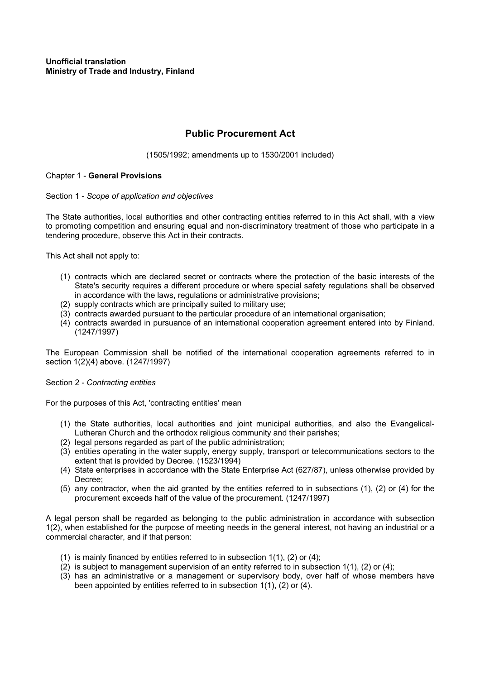# **Public Procurement Act**

(1505/1992; amendments up to 1530/2001 included)

# Chapter 1 - **General Provisions**

# Section 1 - *Scope of application and objectives*

The State authorities, local authorities and other contracting entities referred to in this Act shall, with a view to promoting competition and ensuring equal and non-discriminatory treatment of those who participate in a tendering procedure, observe this Act in their contracts.

This Act shall not apply to:

- (1) contracts which are declared secret or contracts where the protection of the basic interests of the State's security requires a different procedure or where special safety regulations shall be observed in accordance with the laws, regulations or administrative provisions;
- (2) supply contracts which are principally suited to military use;
- (3) contracts awarded pursuant to the particular procedure of an international organisation;
- (4) contracts awarded in pursuance of an international cooperation agreement entered into by Finland. (1247/1997)

The European Commission shall be notified of the international cooperation agreements referred to in section 1(2)(4) above. (1247/1997)

## Section 2 - *Contracting entities*

For the purposes of this Act, 'contracting entities' mean

- (1) the State authorities, local authorities and joint municipal authorities, and also the Evangelical-Lutheran Church and the orthodox religious community and their parishes;
- (2) legal persons regarded as part of the public administration;
- (3) entities operating in the water supply, energy supply, transport or telecommunications sectors to the extent that is provided by Decree. (1523/1994)
- (4) State enterprises in accordance with the State Enterprise Act (627/87), unless otherwise provided by Decree;
- (5) any contractor, when the aid granted by the entities referred to in subsections (1), (2) or (4) for the procurement exceeds half of the value of the procurement. (1247/1997)

A legal person shall be regarded as belonging to the public administration in accordance with subsection 1(2), when established for the purpose of meeting needs in the general interest, not having an industrial or a commercial character, and if that person:

- (1) is mainly financed by entities referred to in subsection 1(1), (2) or (4);
- (2) is subject to management supervision of an entity referred to in subsection 1(1), (2) or (4);
- (3) has an administrative or a management or supervisory body, over half of whose members have been appointed by entities referred to in subsection 1(1), (2) or (4).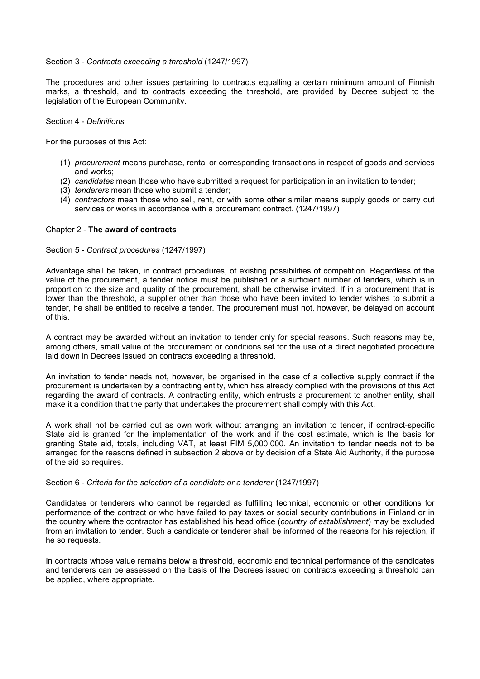## Section 3 - *Contracts exceeding a threshold* (1247/1997)

The procedures and other issues pertaining to contracts equalling a certain minimum amount of Finnish marks, a threshold, and to contracts exceeding the threshold, are provided by Decree subject to the legislation of the European Community.

#### Section 4 - *Definitions*

For the purposes of this Act:

- (1) *procurement* means purchase, rental or corresponding transactions in respect of goods and services and works;
- (2) *candidates* mean those who have submitted a request for participation in an invitation to tender;
- (3) *tenderers* mean those who submit a tender;
- (4) *contractors* mean those who sell, rent, or with some other similar means supply goods or carry out services or works in accordance with a procurement contract. (1247/1997)

## Chapter 2 - **The award of contracts**

## Section 5 - *Contract procedures* (1247/1997)

Advantage shall be taken, in contract procedures, of existing possibilities of competition. Regardless of the value of the procurement, a tender notice must be published or a sufficient number of tenders, which is in proportion to the size and quality of the procurement, shall be otherwise invited. If in a procurement that is lower than the threshold, a supplier other than those who have been invited to tender wishes to submit a tender, he shall be entitled to receive a tender. The procurement must not, however, be delayed on account of this.

A contract may be awarded without an invitation to tender only for special reasons. Such reasons may be, among others, small value of the procurement or conditions set for the use of a direct negotiated procedure laid down in Decrees issued on contracts exceeding a threshold.

An invitation to tender needs not, however, be organised in the case of a collective supply contract if the procurement is undertaken by a contracting entity, which has already complied with the provisions of this Act regarding the award of contracts. A contracting entity, which entrusts a procurement to another entity, shall make it a condition that the party that undertakes the procurement shall comply with this Act.

A work shall not be carried out as own work without arranging an invitation to tender, if contract-specific State aid is granted for the implementation of the work and if the cost estimate, which is the basis for granting State aid, totals, including VAT, at least FIM 5,000,000. An invitation to tender needs not to be arranged for the reasons defined in subsection 2 above or by decision of a State Aid Authority, if the purpose of the aid so requires.

## Section 6 - *Criteria for the selection of a candidate or a tenderer* (1247/1997)

Candidates or tenderers who cannot be regarded as fulfilling technical, economic or other conditions for performance of the contract or who have failed to pay taxes or social security contributions in Finland or in the country where the contractor has established his head office (*country of establishment*) may be excluded from an invitation to tender. Such a candidate or tenderer shall be informed of the reasons for his rejection, if he so requests.

In contracts whose value remains below a threshold, economic and technical performance of the candidates and tenderers can be assessed on the basis of the Decrees issued on contracts exceeding a threshold can be applied, where appropriate.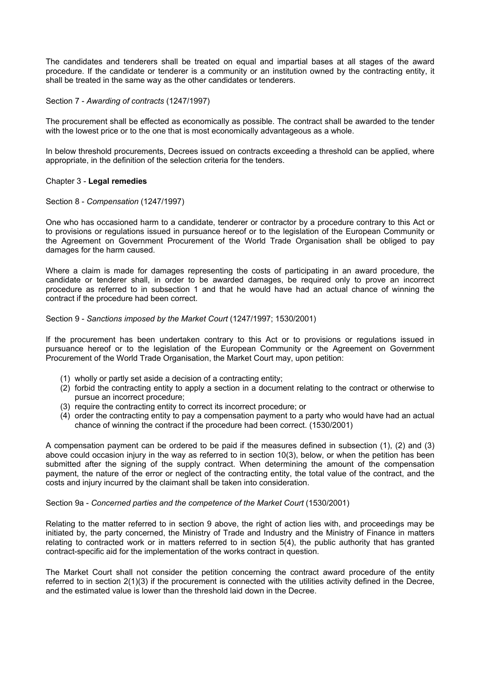The candidates and tenderers shall be treated on equal and impartial bases at all stages of the award procedure. If the candidate or tenderer is a community or an institution owned by the contracting entity, it shall be treated in the same way as the other candidates or tenderers.

Section 7 - *Awarding of contracts* (1247/1997)

The procurement shall be effected as economically as possible. The contract shall be awarded to the tender with the lowest price or to the one that is most economically advantageous as a whole.

In below threshold procurements, Decrees issued on contracts exceeding a threshold can be applied, where appropriate, in the definition of the selection criteria for the tenders.

## Chapter 3 - **Legal remedies**

## Section 8 - *Compensation* (1247/1997)

One who has occasioned harm to a candidate, tenderer or contractor by a procedure contrary to this Act or to provisions or regulations issued in pursuance hereof or to the legislation of the European Community or the Agreement on Government Procurement of the World Trade Organisation shall be obliged to pay damages for the harm caused.

Where a claim is made for damages representing the costs of participating in an award procedure, the candidate or tenderer shall, in order to be awarded damages, be required only to prove an incorrect procedure as referred to in subsection 1 and that he would have had an actual chance of winning the contract if the procedure had been correct.

## Section 9 - *Sanctions imposed by the Market Court* (1247/1997; 1530/2001)

If the procurement has been undertaken contrary to this Act or to provisions or regulations issued in pursuance hereof or to the legislation of the European Community or the Agreement on Government Procurement of the World Trade Organisation, the Market Court may, upon petition:

- (1) wholly or partly set aside a decision of a contracting entity;
- (2) forbid the contracting entity to apply a section in a document relating to the contract or otherwise to pursue an incorrect procedure;
- (3) require the contracting entity to correct its incorrect procedure; or
- (4) order the contracting entity to pay a compensation payment to a party who would have had an actual chance of winning the contract if the procedure had been correct. (1530/2001)

A compensation payment can be ordered to be paid if the measures defined in subsection (1), (2) and (3) above could occasion injury in the way as referred to in section 10(3), below, or when the petition has been submitted after the signing of the supply contract. When determining the amount of the compensation payment, the nature of the error or neglect of the contracting entity, the total value of the contract, and the costs and injury incurred by the claimant shall be taken into consideration.

## Section 9a - *Concerned parties and the competence of the Market Court* (1530/2001)

Relating to the matter referred to in section 9 above, the right of action lies with, and proceedings may be initiated by, the party concerned, the Ministry of Trade and Industry and the Ministry of Finance in matters relating to contracted work or in matters referred to in section 5(4), the public authority that has granted contract-specific aid for the implementation of the works contract in question.

The Market Court shall not consider the petition concerning the contract award procedure of the entity referred to in section 2(1)(3) if the procurement is connected with the utilities activity defined in the Decree, and the estimated value is lower than the threshold laid down in the Decree.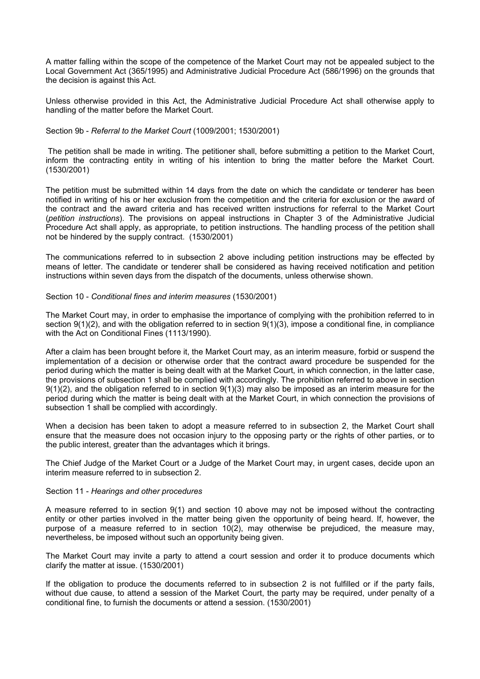A matter falling within the scope of the competence of the Market Court may not be appealed subject to the Local Government Act (365/1995) and Administrative Judicial Procedure Act (586/1996) on the grounds that the decision is against this Act.

Unless otherwise provided in this Act, the Administrative Judicial Procedure Act shall otherwise apply to handling of the matter before the Market Court.

## Section 9b - *Referral to the Market Court* (1009/2001; 1530/2001)

 The petition shall be made in writing. The petitioner shall, before submitting a petition to the Market Court, inform the contracting entity in writing of his intention to bring the matter before the Market Court. (1530/2001)

The petition must be submitted within 14 days from the date on which the candidate or tenderer has been notified in writing of his or her exclusion from the competition and the criteria for exclusion or the award of the contract and the award criteria and has received written instructions for referral to the Market Court (*petition instructions*). The provisions on appeal instructions in Chapter 3 of the Administrative Judicial Procedure Act shall apply, as appropriate, to petition instructions. The handling process of the petition shall not be hindered by the supply contract. (1530/2001)

The communications referred to in subsection 2 above including petition instructions may be effected by means of letter. The candidate or tenderer shall be considered as having received notification and petition instructions within seven days from the dispatch of the documents, unless otherwise shown.

## Section 10 - *Conditional fines and interim measures* (1530/2001)

The Market Court may, in order to emphasise the importance of complying with the prohibition referred to in section 9(1)(2), and with the obligation referred to in section 9(1)(3), impose a conditional fine, in compliance with the Act on Conditional Fines (1113/1990).

After a claim has been brought before it, the Market Court may, as an interim measure, forbid or suspend the implementation of a decision or otherwise order that the contract award procedure be suspended for the period during which the matter is being dealt with at the Market Court, in which connection, in the latter case, the provisions of subsection 1 shall be complied with accordingly. The prohibition referred to above in section 9(1)(2), and the obligation referred to in section 9(1)(3) may also be imposed as an interim measure for the period during which the matter is being dealt with at the Market Court, in which connection the provisions of subsection 1 shall be complied with accordingly.

When a decision has been taken to adopt a measure referred to in subsection 2, the Market Court shall ensure that the measure does not occasion injury to the opposing party or the rights of other parties, or to the public interest, greater than the advantages which it brings.

The Chief Judge of the Market Court or a Judge of the Market Court may, in urgent cases, decide upon an interim measure referred to in subsection 2.

## Section 11 - *Hearings and other procedures*

A measure referred to in section 9(1) and section 10 above may not be imposed without the contracting entity or other parties involved in the matter being given the opportunity of being heard. If, however, the purpose of a measure referred to in section  $10(2)$ , may otherwise be prejudiced, the measure may, nevertheless, be imposed without such an opportunity being given.

The Market Court may invite a party to attend a court session and order it to produce documents which clarify the matter at issue. (1530/2001)

If the obligation to produce the documents referred to in subsection 2 is not fulfilled or if the party fails, without due cause, to attend a session of the Market Court, the party may be required, under penalty of a conditional fine, to furnish the documents or attend a session. (1530/2001)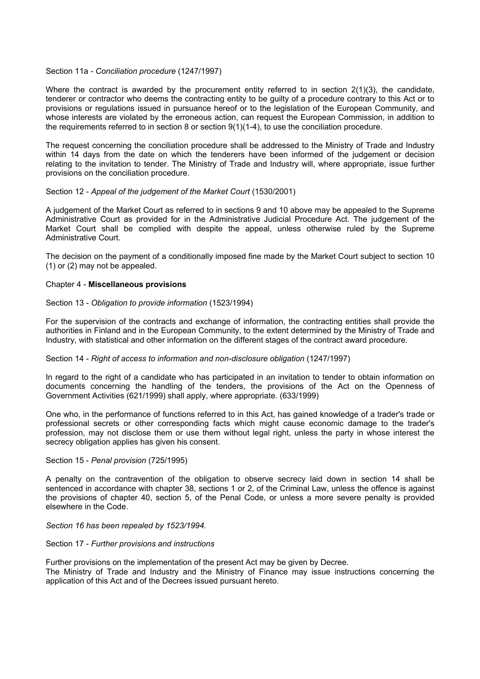## Section 11a - *Conciliation procedure* (1247/1997)

Where the contract is awarded by the procurement entity referred to in section 2(1)(3), the candidate, tenderer or contractor who deems the contracting entity to be guilty of a procedure contrary to this Act or to provisions or regulations issued in pursuance hereof or to the legislation of the European Community, and whose interests are violated by the erroneous action, can request the European Commission, in addition to the requirements referred to in section 8 or section 9(1)(1-4), to use the conciliation procedure.

The request concerning the conciliation procedure shall be addressed to the Ministry of Trade and Industry within 14 days from the date on which the tenderers have been informed of the judgement or decision relating to the invitation to tender. The Ministry of Trade and Industry will, where appropriate, issue further provisions on the conciliation procedure.

## Section 12 - *Appeal of the judgement of the Market Court* (1530/2001)

A judgement of the Market Court as referred to in sections 9 and 10 above may be appealed to the Supreme Administrative Court as provided for in the Administrative Judicial Procedure Act. The judgement of the Market Court shall be complied with despite the appeal, unless otherwise ruled by the Supreme Administrative Court.

The decision on the payment of a conditionally imposed fine made by the Market Court subject to section 10 (1) or (2) may not be appealed.

#### Chapter 4 - **Miscellaneous provisions**

#### Section 13 - *Obligation to provide information* (1523/1994)

For the supervision of the contracts and exchange of information, the contracting entities shall provide the authorities in Finland and in the European Community, to the extent determined by the Ministry of Trade and Industry, with statistical and other information on the different stages of the contract award procedure.

## Section 14 - *Right of access to information and non-disclosure obligation* (1247/1997)

In regard to the right of a candidate who has participated in an invitation to tender to obtain information on documents concerning the handling of the tenders, the provisions of the Act on the Openness of Government Activities (621/1999) shall apply, where appropriate. (633/1999)

One who, in the performance of functions referred to in this Act, has gained knowledge of a trader's trade or professional secrets or other corresponding facts which might cause economic damage to the trader's profession, may not disclose them or use them without legal right, unless the party in whose interest the secrecy obligation applies has given his consent.

#### Section 15 - *Penal provision* (725/1995)

A penalty on the contravention of the obligation to observe secrecy laid down in section 14 shall be sentenced in accordance with chapter 38, sections 1 or 2, of the Criminal Law, unless the offence is against the provisions of chapter 40, section 5, of the Penal Code, or unless a more severe penalty is provided elsewhere in the Code.

*Section 16 has been repealed by 1523/1994.* 

#### Section 17 - *Further provisions and instructions*

Further provisions on the implementation of the present Act may be given by Decree. The Ministry of Trade and Industry and the Ministry of Finance may issue instructions concerning the application of this Act and of the Decrees issued pursuant hereto.